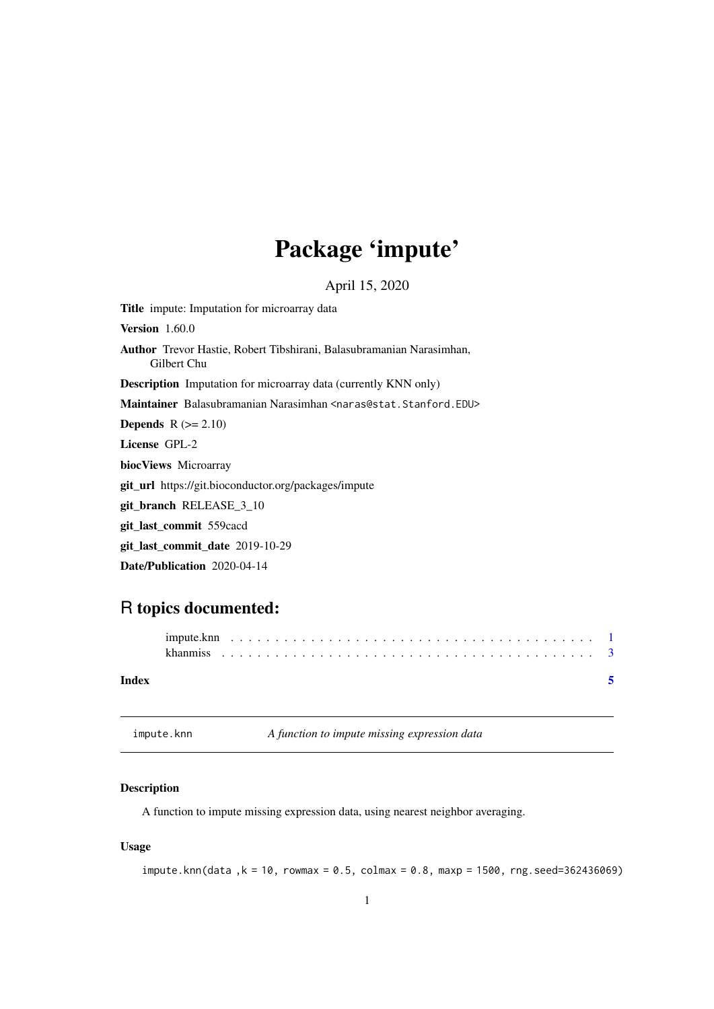## <span id="page-0-0"></span>Package 'impute'

April 15, 2020

Title impute: Imputation for microarray data **Version** 1.60.0 Author Trevor Hastie, Robert Tibshirani, Balasubramanian Narasimhan, Gilbert Chu Description Imputation for microarray data (currently KNN only) Maintainer Balasubramanian Narasimhan <naras@stat.Stanford.EDU> **Depends**  $R$  ( $>= 2.10$ ) License GPL-2 biocViews Microarray git\_url https://git.bioconductor.org/packages/impute git\_branch RELEASE\_3\_10 git\_last\_commit 559cacd git\_last\_commit\_date 2019-10-29 Date/Publication 2020-04-14

### R topics documented:

| Index |  |  |  |  |  |  |  |  |  |  |  |  |  |  |  |  |  |  |  |
|-------|--|--|--|--|--|--|--|--|--|--|--|--|--|--|--|--|--|--|--|

impute.knn *A function to impute missing expression data*

#### Description

A function to impute missing expression data, using nearest neighbor averaging.

#### Usage

 $impute.knn(data , k = 10, rowmax = 0.5, colmax = 0.8, maxp = 1500, rng.seed=362436069)$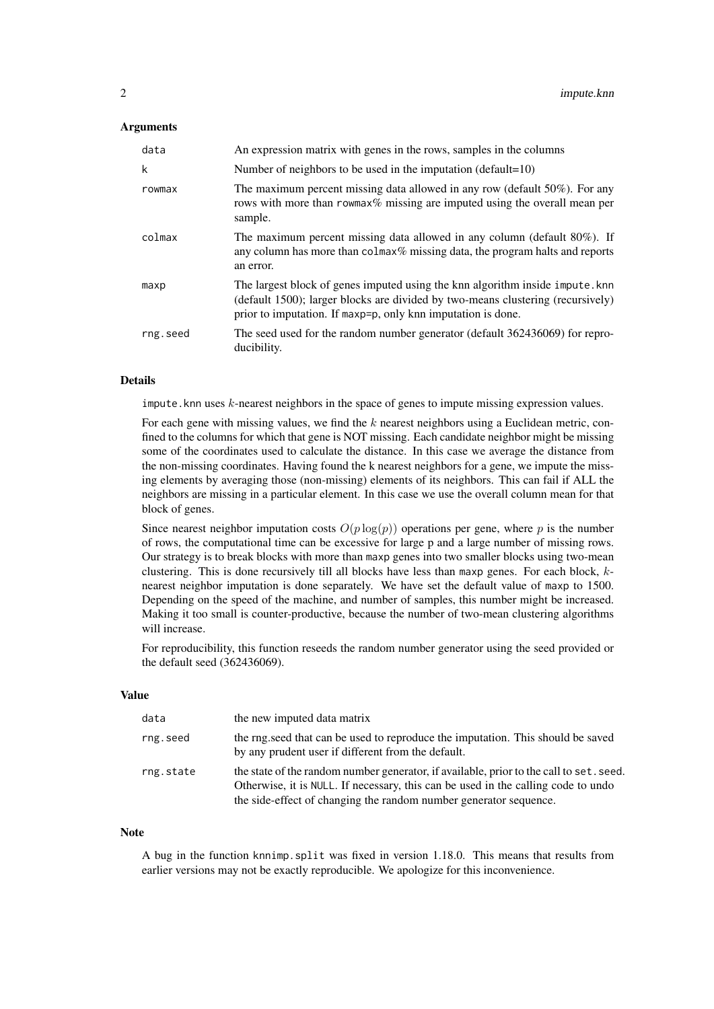#### Arguments

| data     | An expression matrix with genes in the rows, samples in the columns                                                                                                                                                              |
|----------|----------------------------------------------------------------------------------------------------------------------------------------------------------------------------------------------------------------------------------|
| k        | Number of neighbors to be used in the imputation (default= $10$ )                                                                                                                                                                |
| rowmax   | The maximum percent missing data allowed in any row (default 50%). For any<br>rows with more than rowmax% missing are imputed using the overall mean per<br>sample.                                                              |
| colmax   | The maximum percent missing data allowed in any column (default $80\%$ ). If<br>any column has more than colmax% missing data, the program halts and reports<br>an error.                                                        |
| maxp     | The largest block of genes imputed using the knn algorithm inside impute. knn<br>(default 1500); larger blocks are divided by two-means clustering (recursively)<br>prior to imputation. If maxp=p, only knn imputation is done. |
| rng.seed | The seed used for the random number generator (default 362436069) for repro-<br>ducibility.                                                                                                                                      |

#### Details

impute.knn uses  $k$ -nearest neighbors in the space of genes to impute missing expression values.

For each gene with missing values, we find the  $k$  nearest neighbors using a Euclidean metric, confined to the columns for which that gene is NOT missing. Each candidate neighbor might be missing some of the coordinates used to calculate the distance. In this case we average the distance from the non-missing coordinates. Having found the k nearest neighbors for a gene, we impute the missing elements by averaging those (non-missing) elements of its neighbors. This can fail if ALL the neighbors are missing in a particular element. In this case we use the overall column mean for that block of genes.

Since nearest neighbor imputation costs  $O(p \log(p))$  operations per gene, where p is the number of rows, the computational time can be excessive for large p and a large number of missing rows. Our strategy is to break blocks with more than maxp genes into two smaller blocks using two-mean clustering. This is done recursively till all blocks have less than maxp genes. For each block,  $k$ nearest neighbor imputation is done separately. We have set the default value of maxp to 1500. Depending on the speed of the machine, and number of samples, this number might be increased. Making it too small is counter-productive, because the number of two-mean clustering algorithms will increase.

For reproducibility, this function reseeds the random number generator using the seed provided or the default seed (362436069).

#### Value

| data      | the new imputed data matrix                                                                                                                                                                                                                       |
|-----------|---------------------------------------------------------------------------------------------------------------------------------------------------------------------------------------------------------------------------------------------------|
| rng.seed  | the rng. seed that can be used to reproduce the imputation. This should be saved<br>by any prudent user if different from the default.                                                                                                            |
| rng.state | the state of the random number generator, if available, prior to the call to set. seed.<br>Otherwise, it is NULL. If necessary, this can be used in the calling code to undo<br>the side-effect of changing the random number generator sequence. |

#### Note

A bug in the function knnimp.split was fixed in version 1.18.0. This means that results from earlier versions may not be exactly reproducible. We apologize for this inconvenience.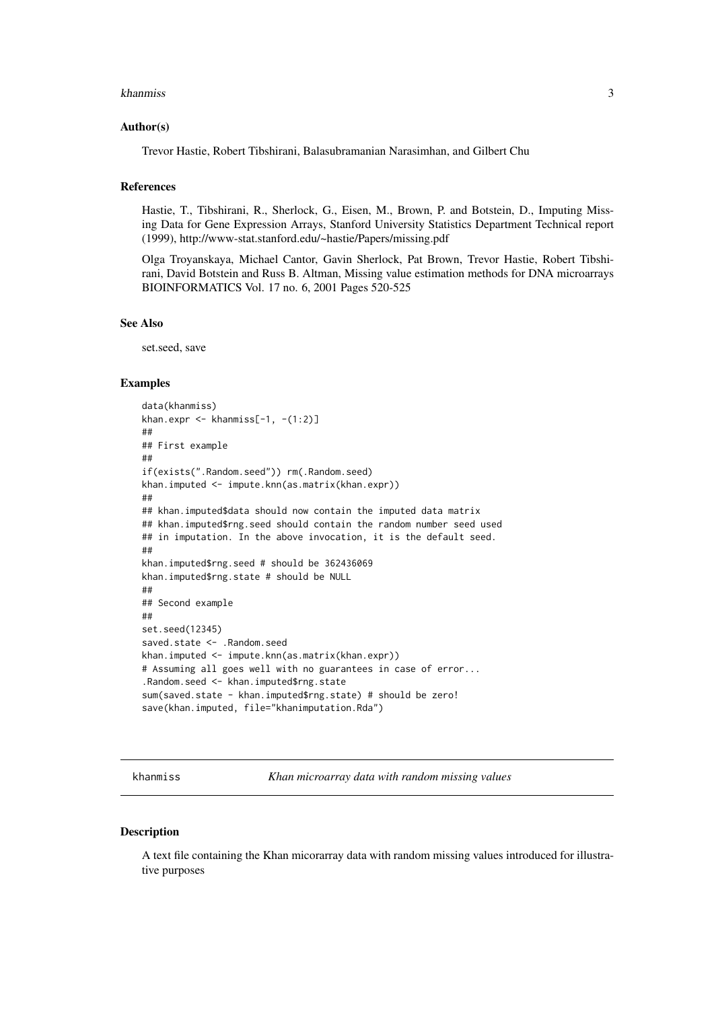#### <span id="page-2-0"></span>khanmiss 3

#### Author(s)

Trevor Hastie, Robert Tibshirani, Balasubramanian Narasimhan, and Gilbert Chu

#### References

Hastie, T., Tibshirani, R., Sherlock, G., Eisen, M., Brown, P. and Botstein, D., Imputing Missing Data for Gene Expression Arrays, Stanford University Statistics Department Technical report (1999), http://www-stat.stanford.edu/~hastie/Papers/missing.pdf

Olga Troyanskaya, Michael Cantor, Gavin Sherlock, Pat Brown, Trevor Hastie, Robert Tibshirani, David Botstein and Russ B. Altman, Missing value estimation methods for DNA microarrays BIOINFORMATICS Vol. 17 no. 6, 2001 Pages 520-525

#### See Also

set.seed, save

#### Examples

```
data(khanmiss)
khan.expr \leq khanmiss[-1, -(1:2)]
##
## First example
##
if(exists(".Random.seed")) rm(.Random.seed)
khan.imputed <- impute.knn(as.matrix(khan.expr))
##
## khan.imputed$data should now contain the imputed data matrix
## khan.imputed$rng.seed should contain the random number seed used
## in imputation. In the above invocation, it is the default seed.
##
khan.imputed$rng.seed # should be 362436069
khan.imputed$rng.state # should be NULL
##
## Second example
##
set.seed(12345)
saved.state <- .Random.seed
khan.imputed <- impute.knn(as.matrix(khan.expr))
# Assuming all goes well with no guarantees in case of error...
.Random.seed <- khan.imputed$rng.state
sum(saved.state - khan.imputed$rng.state) # should be zero!
save(khan.imputed, file="khanimputation.Rda")
```
khanmiss *Khan microarray data with random missing values*

#### Description

A text file containing the Khan micorarray data with random missing values introduced for illustrative purposes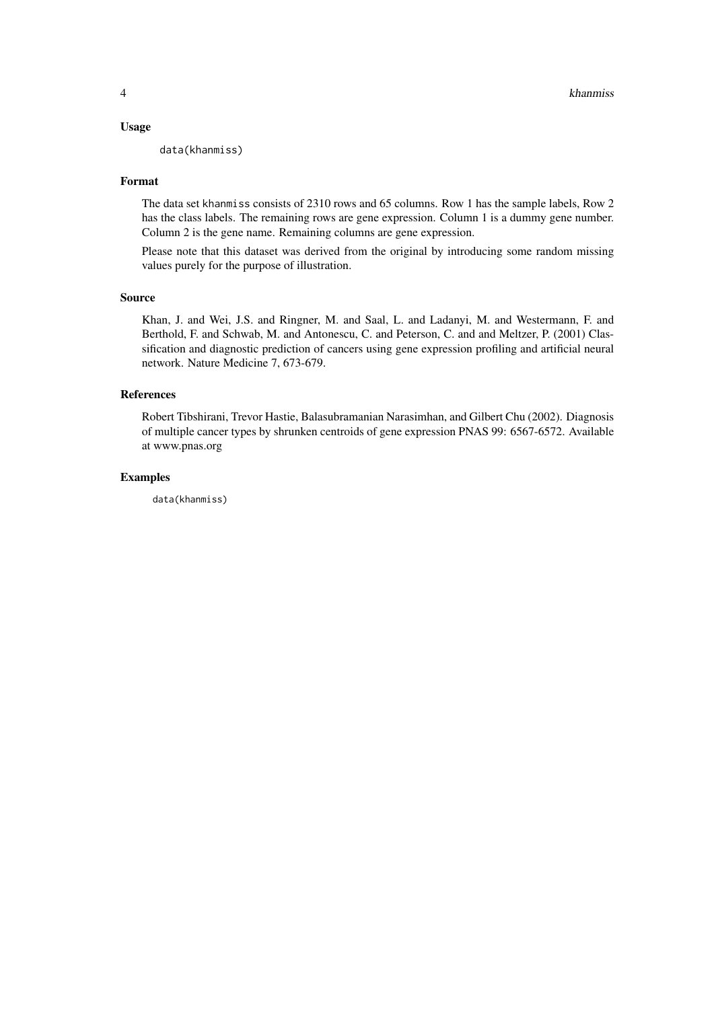#### Usage

data(khanmiss)

#### Format

The data set khanmiss consists of 2310 rows and 65 columns. Row 1 has the sample labels, Row 2 has the class labels. The remaining rows are gene expression. Column 1 is a dummy gene number. Column 2 is the gene name. Remaining columns are gene expression.

Please note that this dataset was derived from the original by introducing some random missing values purely for the purpose of illustration.

#### Source

Khan, J. and Wei, J.S. and Ringner, M. and Saal, L. and Ladanyi, M. and Westermann, F. and Berthold, F. and Schwab, M. and Antonescu, C. and Peterson, C. and and Meltzer, P. (2001) Classification and diagnostic prediction of cancers using gene expression profiling and artificial neural network. Nature Medicine 7, 673-679.

#### References

Robert Tibshirani, Trevor Hastie, Balasubramanian Narasimhan, and Gilbert Chu (2002). Diagnosis of multiple cancer types by shrunken centroids of gene expression PNAS 99: 6567-6572. Available at www.pnas.org

#### Examples

data(khanmiss)